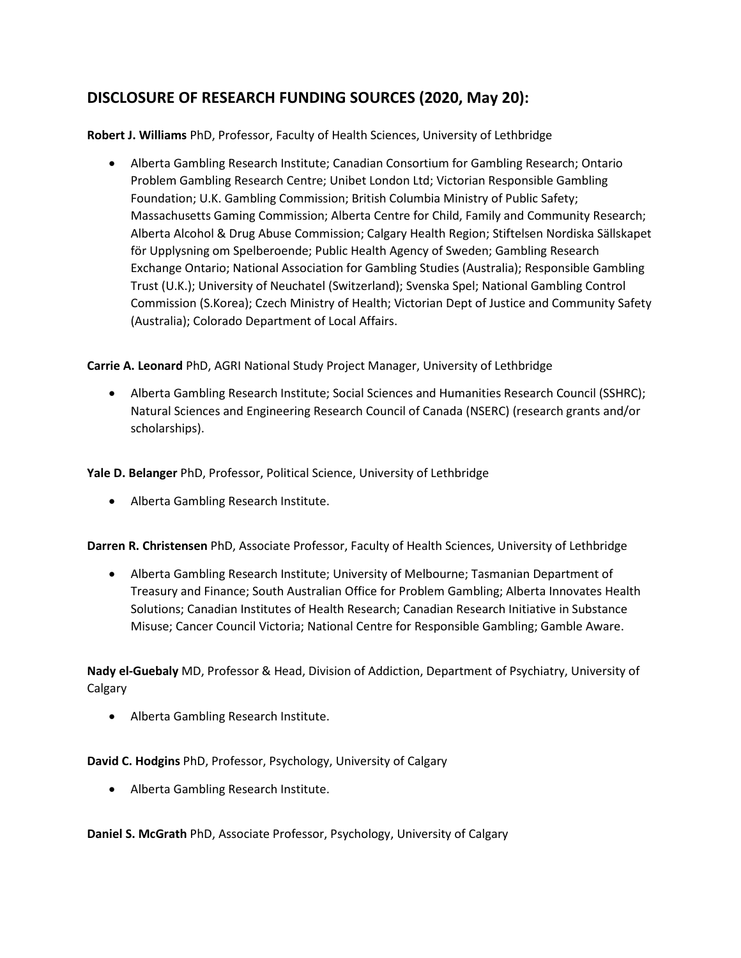## **DISCLOSURE OF RESEARCH FUNDING SOURCES (2020, May 20):**

**Robert J. Williams** PhD, Professor, Faculty of Health Sciences, University of Lethbridge

• Alberta Gambling Research Institute; Canadian Consortium for Gambling Research; Ontario Problem Gambling Research Centre; Unibet London Ltd; Victorian Responsible Gambling Foundation; U.K. Gambling Commission; British Columbia Ministry of Public Safety; Massachusetts Gaming Commission; Alberta Centre for Child, Family and Community Research; Alberta Alcohol & Drug Abuse Commission; Calgary Health Region; Stiftelsen Nordiska Sällskapet för Upplysning om Spelberoende; Public Health Agency of Sweden; Gambling Research Exchange Ontario; National Association for Gambling Studies (Australia); Responsible Gambling Trust (U.K.); University of Neuchatel (Switzerland); Svenska Spel; National Gambling Control Commission (S.Korea); Czech Ministry of Health; Victorian Dept of Justice and Community Safety (Australia); Colorado Department of Local Affairs.

**Carrie A. Leonard** PhD, AGRI National Study Project Manager, University of Lethbridge

• Alberta Gambling Research Institute; Social Sciences and Humanities Research Council (SSHRC); Natural Sciences and Engineering Research Council of Canada (NSERC) (research grants and/or scholarships).

**Yale D. Belanger** PhD, Professor, Political Science, University of Lethbridge

• Alberta Gambling Research Institute.

**Darren R. Christensen** PhD, Associate Professor, Faculty of Health Sciences, University of Lethbridge

• Alberta Gambling Research Institute; University of Melbourne; Tasmanian Department of Treasury and Finance; South Australian Office for Problem Gambling; Alberta Innovates Health Solutions; Canadian Institutes of Health Research; Canadian Research Initiative in Substance Misuse; Cancer Council Victoria; National Centre for Responsible Gambling; Gamble Aware.

**Nady el-Guebaly** MD, Professor & Head, Division of Addiction, Department of Psychiatry, University of Calgary

• Alberta Gambling Research Institute.

## **David C. Hodgins** PhD, Professor, Psychology, University of Calgary

• Alberta Gambling Research Institute.

**Daniel S. McGrath** PhD, Associate Professor, Psychology, University of Calgary